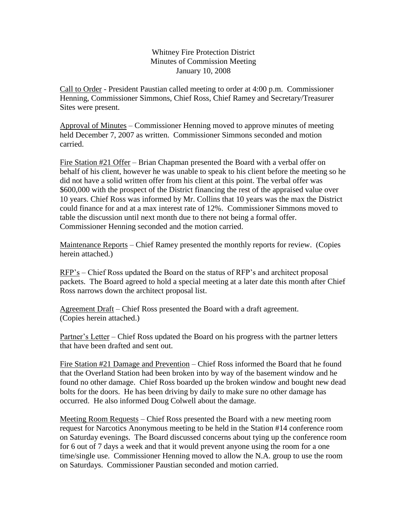Whitney Fire Protection District Minutes of Commission Meeting January 10, 2008

Call to Order - President Paustian called meeting to order at 4:00 p.m. Commissioner Henning, Commissioner Simmons, Chief Ross, Chief Ramey and Secretary/Treasurer Sites were present.

Approval of Minutes – Commissioner Henning moved to approve minutes of meeting held December 7, 2007 as written. Commissioner Simmons seconded and motion carried.

Fire Station #21 Offer – Brian Chapman presented the Board with a verbal offer on behalf of his client, however he was unable to speak to his client before the meeting so he did not have a solid written offer from his client at this point. The verbal offer was \$600,000 with the prospect of the District financing the rest of the appraised value over 10 years. Chief Ross was informed by Mr. Collins that 10 years was the max the District could finance for and at a max interest rate of 12%. Commissioner Simmons moved to table the discussion until next month due to there not being a formal offer. Commissioner Henning seconded and the motion carried.

Maintenance Reports – Chief Ramey presented the monthly reports for review. (Copies herein attached.)

RFP's – Chief Ross updated the Board on the status of RFP's and architect proposal packets. The Board agreed to hold a special meeting at a later date this month after Chief Ross narrows down the architect proposal list.

Agreement Draft – Chief Ross presented the Board with a draft agreement. (Copies herein attached.)

Partner's Letter – Chief Ross updated the Board on his progress with the partner letters that have been drafted and sent out.

Fire Station #21 Damage and Prevention – Chief Ross informed the Board that he found that the Overland Station had been broken into by way of the basement window and he found no other damage. Chief Ross boarded up the broken window and bought new dead bolts for the doors. He has been driving by daily to make sure no other damage has occurred. He also informed Doug Colwell about the damage.

Meeting Room Requests – Chief Ross presented the Board with a new meeting room request for Narcotics Anonymous meeting to be held in the Station #14 conference room on Saturday evenings. The Board discussed concerns about tying up the conference room for 6 out of 7 days a week and that it would prevent anyone using the room for a one time/single use. Commissioner Henning moved to allow the N.A. group to use the room on Saturdays. Commissioner Paustian seconded and motion carried.